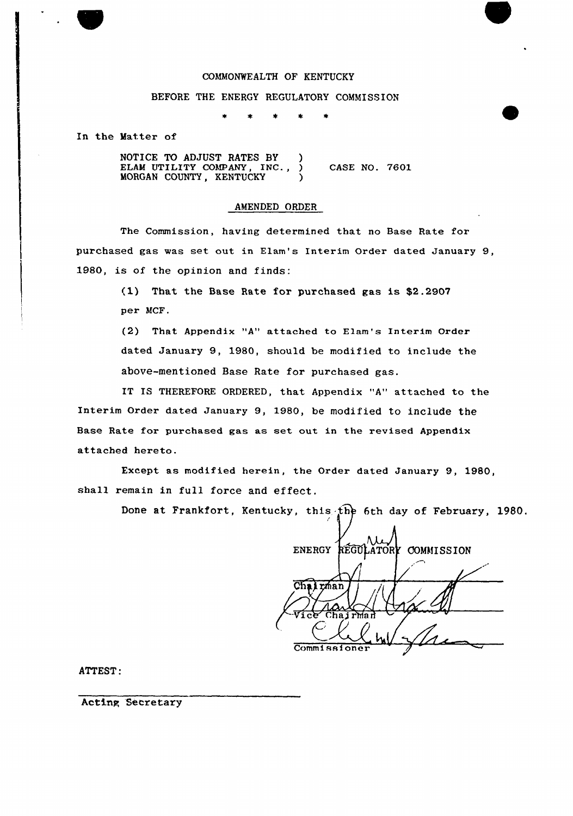# COMMONWEALTH OF KENTUCKY

## BEFORE THE ENERGY REGULATORY COMMISSION

 $\star$  $\star$  $\pmb{\ast}$ 金

In the Matter of

NOTICE TO ADJUST RATES BY ) ELAM UTILITY COMPANY, INC., ) CASE NO. 7601 MORGAN COUNTY, KENTUCKY (1)

### AMENDED ORDER

The Commission, having determined that no Base Rate for purchased gas was set out in Elam's Interim Order dated January 9, 1980, is of the opinion and finds:

> (1) That the Base Rate for purchased gas is \$2.2907 per MCF.

(2) That Appendix "A" attached to Elam's Interim Order dated January 9, 1980, should be modified to include the above-mentioned Base Rate for purchased gas.

IT IS THEREFORE ORDERED, that Appendix "A" attached to the Interim Order dated January 9, 1980, be modified to include the Base Rate for purchased gas as set out in the revised Appendix attached hereto.

Except as modified herein, the Order dated January 9, 1980, shall remain in full force and effect.

Done at Frankfort, Kentucky, this the 6th day of February, 1980.

| ENERGY REGULATORY COMMISSION |  |
|------------------------------|--|
|                              |  |
| <u>Ch</u><br>rman            |  |
| Vice Chairman                |  |
| Commissioner                 |  |

ATTEST:

Acting Secretary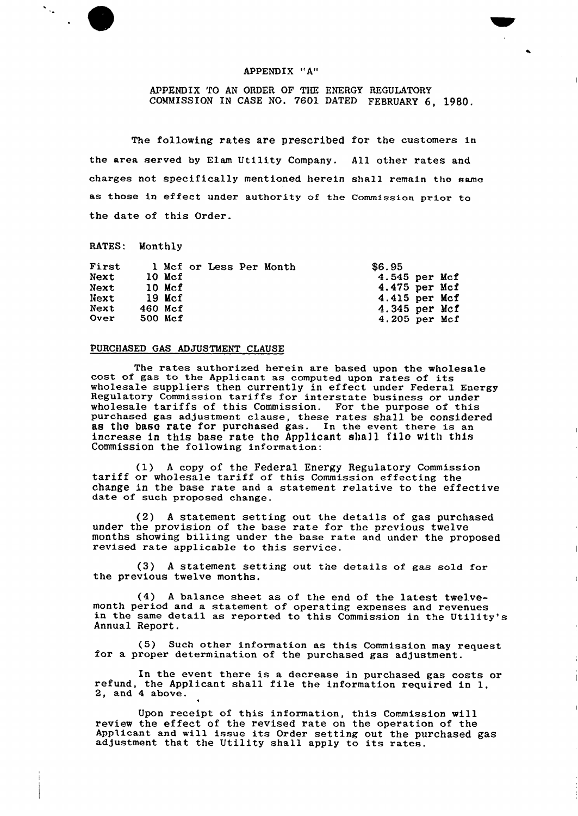### APPENDIX "A"

# APPENDIX TO AN ORDER OF THE ENERGY REGULATORY COMMISSION IN CASE NO. 7601 DATED FEBRUARY 6, 1980.

 $\bullet$ 

 $\overline{1}$ 

 $\overline{1}$ 

The following rates are prescribed for the customers in the area served by Elam Utility Company. All other rates and charges not specifically mentioned herein shall remain the same as those in effect under authority of the Commission prior to the date of this Order.

RATES: Monthly

 $\frac{1}{\sqrt{2}}\sum_{i=1}^{n} \frac{1}{\sqrt{2}}\left(\frac{1}{\sqrt{2}}\right)^2\left(\frac{1}{\sqrt{2}}\right)^2.$ 

| <b>First</b> |          |  | 1 Mcf or Less Per Month | \$6.95          |  |
|--------------|----------|--|-------------------------|-----------------|--|
| Next         | $10$ Mcf |  |                         | 4.545 per Mcf   |  |
| Next         | $10$ Mcf |  |                         | 4.475 per Mcf   |  |
| Next         | 19 Mcf   |  |                         | 4.415 per Mcf   |  |
| Next         | 460 Mcf  |  |                         | $4.345$ per Mcf |  |
| <b>Over</b>  | 500 Mcf  |  |                         | 4.205 per Mcf   |  |

## PURCHASED GAS ADJUSTMENT CLAUSE

The rates authorized herein are based upon the wholesale cost of gas to the Applicant as computed upon rates of its soot of gas to the appricant as computed upon rates of its wholesale suppliers then currently in effect under Federal Energy wholesale suppriets then currently in errect under rederal Engagement of the substitution of the substitution of the set of the set of the set of the set of the set of the set of the set of the set of the set of the set of wholesale tariffs of this Commission. For the purpose of this purchased gas adjustment clause, these rates shall be considered as the base rate for purchased gas. In the event there is an increase in this base rate the Applicant shall file with this Commission the following information:

(1) <sup>A</sup> copy of the Federal Energy Regulatory Commission tariff or wholesale tariff of this Commission effecting the change in the base rate and <sup>a</sup> statement relative to the effective date of such proposed change.

(2) A statement setting out the details of gas purchase under the provision of the base rate for the previous twelv months showing billing under the base rate and under the proposed revised rate applicable to this service.

(3) <sup>A</sup> statement setting out the details of gas sold for the previous twelve months.

(4) A balance sheet as of the end of the latest twelve-<br>month period and a statement of operating expenses and revenues in the same detail as reported to this Commission in the Utility's Annual Report.

(5) Such other information as this Commission may request for <sup>a</sup> proper determination of the purchased gas adjustment.

In the event there is <sup>a</sup> decrease in purchased gas costs or refund, the Applicant shall file the information required in 1, 2, and <sup>4</sup> above.

Upon receipt of this information, this Commission will review the effect of the revised rate on the operation of the Applicant and will issue its Order setting out the purchased gas adjustment that the Utility shall apply to its rates.